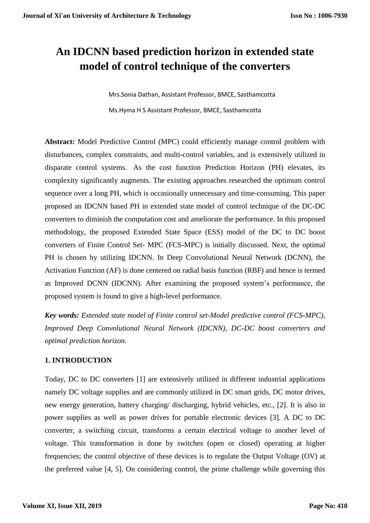# **An IDCNN based prediction horizon in extended state model of control technique of the converters**

 Mrs.Sonia Dathan, Assistant Professor, BMCE, Sasthamcotta Ms.Hyma H S Assistant Professor, BMCE, Sasthamcotta

**Abstract:** Model Predictive Control (MPC) could efficiently manage control problem with disturbances, complex constraints, and multi-control variables, and is extensively utilized in disparate control systems. As the cost function Prediction Horizon (PH) elevates, its complexity significantly augments. The existing approaches researched the optimum control sequence over a long PH, which is occasionally unnecessary and time-consuming. This paper proposed an IDCNN based PH in extended state model of control technique of the DC-DC converters to diminish the computation cost and ameliorate the performance. In this proposed methodology, the proposed Extended State Space (ESS) model of the DC to DC boost converters of Finite Control Set- MPC (FCS-MPC) is initially discussed. Next, the optimal PH is chosen by utilizing IDCNN. In Deep Convolutional Neural Network (DCNN), the Activation Function (AF) is done centered on radial basis function (RBF) and hence is termed as Improved DCNN (IDCNN). After examining the proposed system's performance, the proposed system is found to give a high-level performance.

*Key words: Extended state model of Finite control set-Model predictive control (FCS-MPC), Improved Deep Convolutional Neural Network (IDCNN), DC-DC boost converters and optimal prediction horizon.*

# **1. INTRODUCTION**

Today, DC to DC converters [1] are extensively utilized in different industrial applications namely DC voltage supplies and are commonly utilized in DC smart grids, DC motor drives, new energy generation, battery charging/ discharging, hybrid vehicles, etc., [2]. It is also in power supplies as well as power drives for portable electronic devices [3]. A DC to DC converter, a switching circuit, transforms a certain electrical voltage to another level of voltage. This transformation is done by switches (open or closed) operating at higher frequencies; the control objective of these devices is to regulate the Output Voltage (OV) at the preferred value [4, 5]. On considering control, the prime challenge while governing this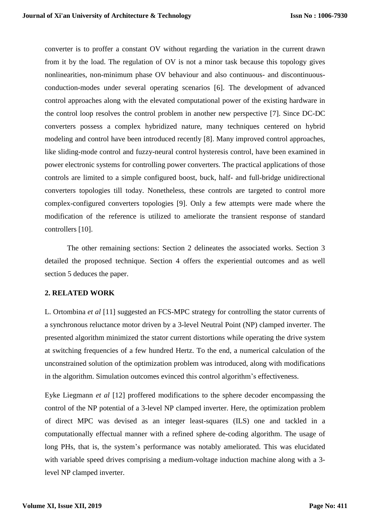converter is to proffer a constant OV without regarding the variation in the current drawn from it by the load. The regulation of OV is not a minor task because this topology gives nonlinearities, non-minimum phase OV behaviour and also continuous- and discontinuousconduction-modes under several operating scenarios [6]. The development of advanced control approaches along with the elevated computational power of the existing hardware in the control loop resolves the control problem in another new perspective [7]. Since DC-DC converters possess a complex hybridized nature, many techniques centered on hybrid modeling and control have been introduced recently [8]. Many improved control approaches, like sliding-mode control and fuzzy-neural control hysteresis control, have been examined in power electronic systems for controlling power converters. The practical applications of those controls are limited to a simple configured boost, buck, half- and full-bridge unidirectional converters topologies till today. Nonetheless, these controls are targeted to control more complex-configured converters topologies [9]. Only a few attempts were made where the modification of the reference is utilized to ameliorate the transient response of standard controllers [10].

The other remaining sections: Section 2 delineates the associated works. Section 3 detailed the proposed technique. Section 4 offers the experiential outcomes and as well section 5 deduces the paper.

# **2. RELATED WORK**

L. Ortombina *et al* [11] suggested an FCS-MPC strategy for controlling the stator currents of a synchronous reluctance motor driven by a 3-level Neutral Point (NP) clamped inverter. The presented algorithm minimized the stator current distortions while operating the drive system at switching frequencies of a few hundred Hertz. To the end, a numerical calculation of the unconstrained solution of the optimization problem was introduced, along with modifications in the algorithm. Simulation outcomes evinced this control algorithm's effectiveness.

Eyke Liegmann *et al* [12] proffered modifications to the sphere decoder encompassing the control of the NP potential of a 3-level NP clamped inverter. Here, the optimization problem of direct MPC was devised as an integer least-squares (ILS) one and tackled in a computationally effectual manner with a refined sphere de-coding algorithm. The usage of long PHs, that is, the system's performance was notably ameliorated. This was elucidated with variable speed drives comprising a medium-voltage induction machine along with a 3level NP clamped inverter.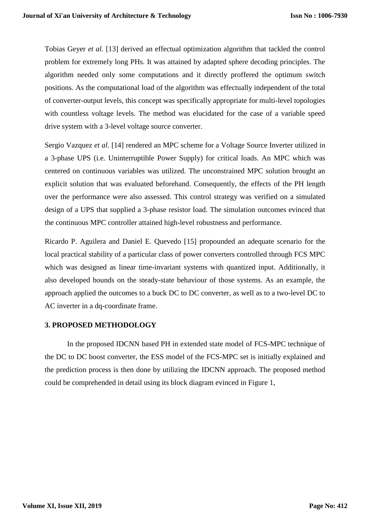Tobias Geyer *et al.* [13] derived an effectual optimization algorithm that tackled the control problem for extremely long PHs. It was attained by adapted sphere decoding principles. The algorithm needed only some computations and it directly proffered the optimum switch positions. As the computational load of the algorithm was effectually independent of the total of converter-output levels, this concept was specifically appropriate for multi-level topologies with countless voltage levels. The method was elucidated for the case of a variable speed drive system with a 3-level voltage source converter.

Sergio Vazquez *et al.* [14] rendered an MPC scheme for a Voltage Source Inverter utilized in a 3-phase UPS (i.e. Uninterruptible Power Supply) for critical loads. An MPC which was centered on continuous variables was utilized. The unconstrained MPC solution brought an explicit solution that was evaluated beforehand. Consequently, the effects of the PH length over the performance were also assessed. This control strategy was verified on a simulated design of a UPS that supplied a 3-phase resistor load. The simulation outcomes evinced that the continuous MPC controller attained high-level robustness and performance.

Ricardo P. Aguilera and Daniel E. Quevedo [15] propounded an adequate scenario for the local practical stability of a particular class of power converters controlled through FCS MPC which was designed as linear time-invariant systems with quantized input. Additionally, it also developed bounds on the steady-state behaviour of those systems. As an example, the approach applied the outcomes to a buck DC to DC converter, as well as to a two-level DC to AC inverter in a dq-coordinate frame.

# **3. PROPOSED METHODOLOGY**

In the proposed IDCNN based PH in extended state model of FCS-MPC technique of the DC to DC boost converter, the ESS model of the FCS-MPC set is initially explained and the prediction process is then done by utilizing the IDCNN approach. The proposed method could be comprehended in detail using its block diagram evinced in Figure 1,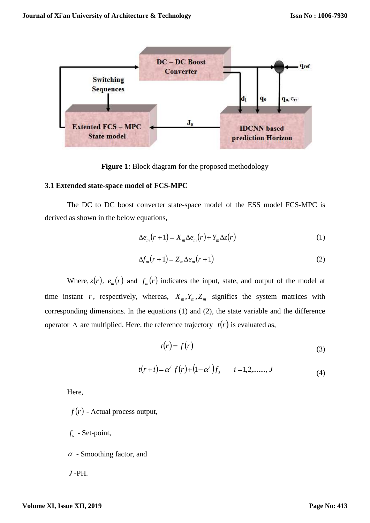

Figure 1: Block diagram for the proposed methodology

#### **3.1 Extended state-space model of FCS-MPC**

The DC to DC boost converter state-space model of the ESS model FCS-MPC is derived as shown in the below equations,

$$
\Delta e_m(r+1) = X_m \Delta e_m(r) + Y_m \Delta z(r) \tag{1}
$$

$$
\Delta f_m(r+1) = Z_m \Delta e_m(r+1) \tag{2}
$$

Where,  $z(r)$ ,  $e_m(r)$  and  $f_m(r)$  indicates the input, state, and output of the model at time instant r, respectively, whereas,  $X_m, Y_m, Z_m$  signifies the system matrices with corresponding dimensions. In the equations (1) and (2), the state variable and the difference operator  $\Delta$  are multiplied. Here, the reference trajectory  $t(r)$  is evaluated as,

$$
t(r) = f(r) \tag{3}
$$

$$
t(r+i) = \alpha^{i} f(r) + (1 - \alpha^{i}) f_{s} \qquad i = 1, 2, \dots, J
$$
 (4)

Here,

- $f(r)$  Actual process output,
- $f<sub>s</sub>$  Set-point,
- $\alpha$  Smoothing factor, and
- *<sup>J</sup>* -PH.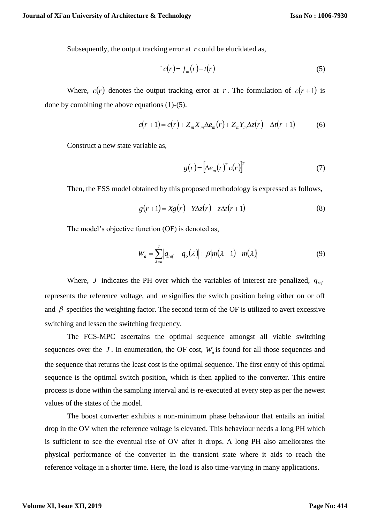Subsequently, the output tracking error at  $r$  could be elucidated as,

$$
c(r) = f_m(r) - t(r) \tag{5}
$$

Where,  $c(r)$  denotes the output tracking error at r. The formulation of  $c(r+1)$  is done by combining the above equations (1)-(5).

$$
c(r+1) = c(r) + Z_m X_m \Delta e_m(r) + Z_m Y_m \Delta z(r) - \Delta t(r+1)
$$
 (6)

Construct a new state variable as,

$$
g(r) = \left[\Delta e_m(r)^T c(r)\right]^T \tag{7}
$$

Then, the ESS model obtained by this proposed methodology is expressed as follows,

$$
g(r+1) = Xg(r) + Y\Delta z(r) + z\Delta t(r+1)
$$
\n(8)

The model's objective function (OF) is denoted as,

$$
W_a = \sum_{\lambda=k}^{J} \left| q_{ref} - q_o(\lambda) \right| + \beta \left| m(\lambda - 1) - m(\lambda) \right| \tag{9}
$$

Where, *J* indicates the PH over which the variables of interest are penalized,  $q_{ref}$ represents the reference voltage, and *m* signifies the switch position being either on or off and  $\beta$  specifies the weighting factor. The second term of the OF is utilized to avert excessive switching and lessen the switching frequency.

The FCS-MPC ascertains the optimal sequence amongst all viable switching sequences over the  $J$ . In enumeration, the OF cost,  $W_a$  is found for all those sequences and the sequence that returns the least cost is the optimal sequence. The first entry of this optimal sequence is the optimal switch position, which is then applied to the converter. This entire process is done within the sampling interval and is re-executed at every step as per the newest values of the states of the model.

The boost converter exhibits a non-minimum phase behaviour that entails an initial drop in the OV when the reference voltage is elevated. This behaviour needs a long PH which is sufficient to see the eventual rise of OV after it drops. A long PH also ameliorates the physical performance of the converter in the transient state where it aids to reach the reference voltage in a shorter time. Here, the load is also time-varying in many applications.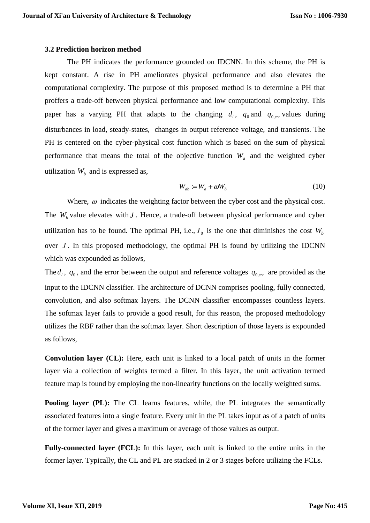#### **3.2 Prediction horizon method**

The PH indicates the performance grounded on IDCNN. In this scheme, the PH is kept constant. A rise in PH ameliorates physical performance and also elevates the computational complexity. The purpose of this proposed method is to determine a PH that proffers a trade-off between physical performance and low computational complexity. This paper has a varying PH that adapts to the changing  $d_1$ ,  $q_0$  and  $q_{0,err}$  values during disturbances in load, steady-states, changes in output reference voltage, and transients. The PH is centered on the cyber-physical cost function which is based on the sum of physical performance that means the total of the objective function  $W_a$  and the weighted cyber utilization  $W_b$  and is expressed as,

$$
W_{ab} := W_a + \omega W_b \tag{10}
$$

Where,  $\omega$  indicates the weighting factor between the cyber cost and the physical cost. The  $W_b$  value elevates with  $J$ . Hence, a trade-off between physical performance and cyber utilization has to be found. The optimal PH, i.e.,  $J_0$  is the one that diminishes the cost  $W_b$ over *J*. In this proposed methodology, the optimal PH is found by utilizing the IDCNN which was expounded as follows,

The  $d_1$ ,  $q_0$ , and the error between the output and reference voltages  $q_{0,err}$  are provided as the input to the IDCNN classifier. The architecture of DCNN comprises pooling, fully connected, convolution, and also softmax layers. The DCNN classifier encompasses countless layers. The softmax layer fails to provide a good result, for this reason, the proposed methodology utilizes the RBF rather than the softmax layer. Short description of those layers is expounded as follows,

**Convolution layer (CL):** Here, each unit is linked to a local patch of units in the former layer via a collection of weights termed a filter. In this layer, the unit activation termed feature map is found by employing the non-linearity functions on the locally weighted sums.

**Pooling layer** (PL): The CL learns features, while, the PL integrates the semantically associated features into a single feature. Every unit in the PL takes input as of a patch of units of the former layer and gives a maximum or average of those values as output.

**Fully-connected layer (FCL):** In this layer, each unit is linked to the entire units in the former layer. Typically, the CL and PL are stacked in 2 or 3 stages before utilizing the FCLs.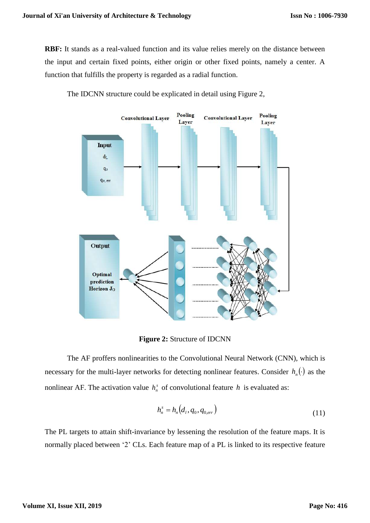**RBF:** It stands as a real-valued function and its value relies merely on the distance between the input and certain fixed points, either origin or other fixed points, namely a center. A function that fulfills the property is regarded as a radial function.



The IDCNN structure could be explicated in detail using Figure 2,

**Figure 2:** Structure of IDCNN

The AF proffers nonlinearities to the Convolutional Neural Network (CNN), which is necessary for the multi-layer networks for detecting nonlinear features. Consider  $h_n(\cdot)$  as the nonlinear AF. The activation value  $h_n^s$  of convolutional feature h is evaluated as:

$$
h_n^s = h_n(d_1, q_0, q_{0,err})
$$
\n(11)

The PL targets to attain shift-invariance by lessening the resolution of the feature maps. It is normally placed between '2' CLs. Each feature map of a PL is linked to its respective feature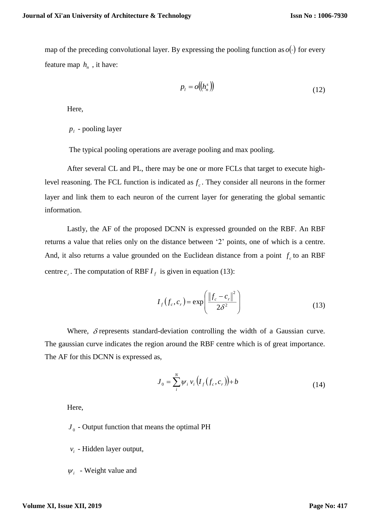map of the preceding convolutional layer. By expressing the pooling function as  $o(\cdot)$  for every feature map  $h_n$ , it have:

$$
p_l = o\big(\!\left(h_n^s\right)\!\!\big) \tag{12}
$$

Here,

 $p_i$  - pooling layer

The typical pooling operations are average pooling and max pooling.

After several CL and PL, there may be one or more FCLs that target to execute highlevel reasoning. The FCL function is indicated as  $f_c$ . They consider all neurons in the former layer and link them to each neuron of the current layer for generating the global semantic information.

Lastly, the AF of the proposed DCNN is expressed grounded on the RBF. An RBF returns a value that relies only on the distance between '2' points, one of which is a centre. And, it also returns a value grounded on the Euclidean distance from a point  $f_c$  to an RBF centre  $c_r$ . The computation of RBF  $I_f$  is given in equation (13):

$$
I_f(f_c, c_r) = \exp\left(\frac{\left\|f_c - c_r\right\|^2}{2\delta^2}\right)
$$
 (13)

Where,  $\delta$  represents standard-deviation controlling the width of a Gaussian curve. The gaussian curve indicates the region around the RBF centre which is of great importance. The AF for this DCNN is expressed as,

$$
J_0 = \sum_{i}^{N} \psi_i \, v_i \left( I_f(f_c, c_r) \right) + b \tag{14}
$$

Here,

 $J<sub>0</sub>$  - Output function that means the optimal PH

*i <sup>v</sup>* - Hidden layer output,

 $W_i$  - Weight value and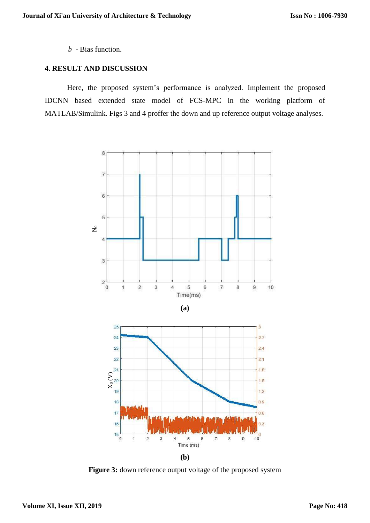*<sup>b</sup>* - Bias function.

### **4. RESULT AND DISCUSSION**

Here, the proposed system's performance is analyzed. Implement the proposed IDCNN based extended state model of FCS-MPC in the working platform of MATLAB/Simulink. Figs 3 and 4 proffer the down and up reference output voltage analyses.



Figure 3: down reference output voltage of the proposed system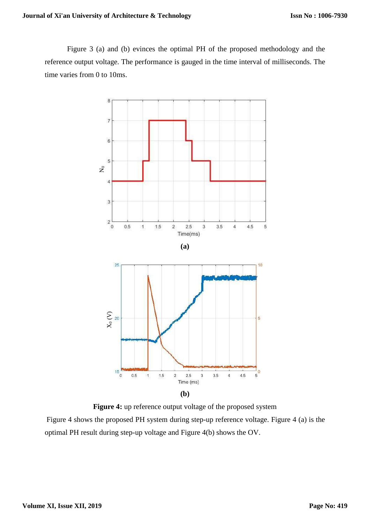Figure 3 (a) and (b) evinces the optimal PH of the proposed methodology and the reference output voltage. The performance is gauged in the time interval of milliseconds. The time varies from 0 to 10ms.



Figure 4: up reference output voltage of the proposed system

Figure 4 shows the proposed PH system during step-up reference voltage. Figure 4 (a) is the optimal PH result during step-up voltage and Figure 4(b) shows the OV.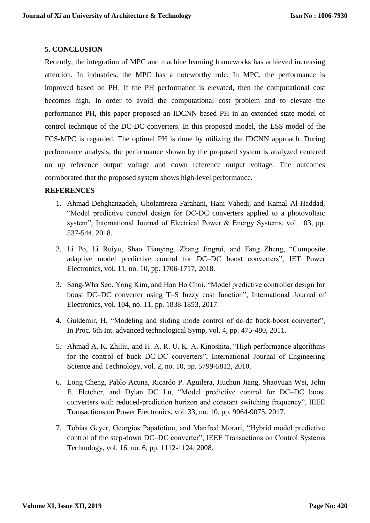# **5. CONCLUSION**

Recently, the integration of MPC and machine learning frameworks has achieved increasing attention. In industries, the MPC has a noteworthy role. In MPC, the performance is improved based on PH. If the PH performance is elevated, then the computational cost becomes high. In order to avoid the computational cost problem and to elevate the performance PH, this paper proposed an IDCNN based PH in an extended state model of control technique of the DC-DC converters. In this proposed model, the ESS model of the FCS-MPC is regarded. The optimal PH is done by utilizing the IDCNN approach. During performance analysis, the performance shown by the proposed system is analyzed centered on up reference output voltage and down reference output voltage. The outcomes corroborated that the proposed system shows high-level performance.

# **REFERENCES**

- 1. Ahmad Dehghanzadeh, Gholamreza Farahani, Hani Vahedi, and Kamal Al-Haddad, "Model predictive control design for DC-DC converters applied to a photovoltaic system", International Journal of Electrical Power & Energy Systems, vol. 103, pp. 537-544, 2018.
- 2. Li Po, Li Ruiyu, Shao Tianying, Zhang Jingrui, and Fang Zheng, "Composite adaptive model predictive control for DC–DC boost converters", IET Power Electronics, vol. 11, no. 10, pp. 1706-1717, 2018.
- 3. Sang-Wha Seo, Yong Kim, and Han Ho Choi, "Model predictive controller design for boost DC–DC converter using T–S fuzzy cost function", International Journal of Electronics, vol. 104, no. 11, pp. 1838-1853, 2017.
- 4. Guldemir, H, "Modeling and sliding mode control of dc-dc buck-boost converter", In Proc. 6th Int. advanced technological Symp, vol. 4, pp. 475-480, 2011.
- 5. Ahmad A, K. Zhiliu, and H. A. R. U. K. A. Kinoshita, "High performance algorithms for the control of buck DC-DC converters", International Journal of Engineering Science and Technology, vol. 2, no. 10, pp. 5799-5812, 2010.
- 6. Long Cheng, Pablo Acuna, Ricardo P. Aguilera, Jiuchun Jiang, Shaoyuan Wei, John E. Fletcher, and Dylan DC Lu, "Model predictive control for DC–DC boost converters with reduced-prediction horizon and constant switching frequency", IEEE Transactions on Power Electronics, vol. 33, no. 10, pp. 9064-9075, 2017.
- 7. Tobias Geyer, Georgios Papafotiou, and Manfred Morari, "Hybrid model predictive control of the step-down DC–DC converter", IEEE Transactions on Control Systems Technology, vol. 16, no. 6, pp. 1112-1124, 2008.